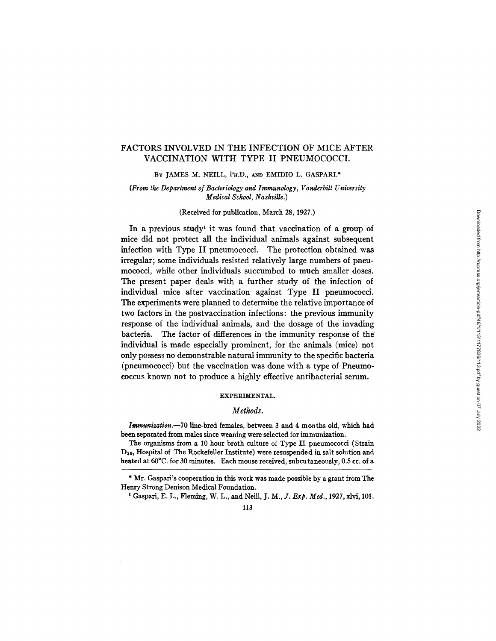## FACTORS INVOLVED IN THE INFECTION OF MICE AFTER VACCINATION WITH TYPE II PNEUMOCOCCI.

BY JAMES M. NEILL, PH.D., AND EMIDIO L. GASPARI.\*

*(From the Department of Bacteriology and Immunology, Vanderbilt University Medical School, Nashville.)* 

#### (Received for publication, March 28, 1927.)

In a previous study<sup>1</sup> it was found that vaccination of a group of mice did not protect all the individual animals against subsequent infection with Type II pneumococci. The protection obtained was irregular; some individuals resisted relatively large numbers of pneumococci, while other individuals succumbed to much smaller doses. The present paper deals with a further study of the infection of individual mice after vaccination against Type II pneumococci. The experiments were planned to determine the relative importance of two factors in the postvaccination infections: the previous immunity response of the individual animals, and the dosage of the invading bacteria. The factor of differences in the immunity response of the individual is made especially prominent, for the animals (mice) not only possess no demonstrable natural immunity to the specific bacteria (pneumococci) but the vaccination was done with a type of Pneumococcus known not to produce a highly effective antibacterial serum.

#### EXPERIMENTAL.

### *Methods.*

*Immunization.--70* line-bred females, between 3 and 4 months old, which had been separated from males since weaning were selected for immunization.

The organisms from a 10 hour broth culture of Type II pneumococci (Strain D39, Hospital of The Rockefeller Institute) were resuspended in salt solution and heated at 60°C. for 30 minutes. Each mouse received, subcutaneously, 0.5 cc. of a

t Gaspari, E. L., Fleming, W. I.,, and Neill, *J. M., J. Exp. Med.,* 1927, xlvi, I01.

<sup>\*</sup> Mr. Gaspari's cooperation in this work was made possible by a grant from The Henry Strong Denison Medical Foundation.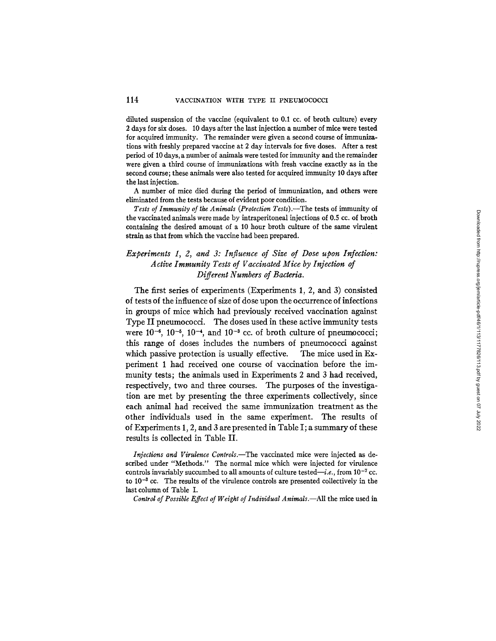diluted suspension of the vaccine (equivalent to 0.1 cc. of broth culture) every 2 days for six doses. 10 days after the last injection a number of mice were tested for acquired immunity. The remainder were given a second course of immunizations with freshly prepared vaccine at 2 day intervals for five doses. After a rest period of 10 days, a number of animals were tested for immunity and the remainder were given a third course of immunizations with fresh vaccine exactly as in the second course; these animals were also tested for acquired immunity 10 days after the last injection.

A number of mice died during the period of immunization, and others were eliminated from the tests because of evident poor condition.

Tests of Immunity of the Animals (Protection Tests).—The tests of immunity of the vaccinated animals were made by intraperitoneal injections of 0.5 cc. of broth containing the desired amount of a 10 hour broth culture of the same virulent strain as that from which the vaccine had been prepared.

# *Experiments I, 2, and 3: Influence of Size of Dose upon Infection: Active Immunity Tests of Vaccinated Mice by Injection of Different Numbers of Bacteria.*

The first series of experiments (Experiments 1, 2, and 3) consisted of tests of the influence of size of dose upon the occurrence of infections in groups of mice which had previously received vaccination against Type II pneumococci. The doses used in these active immunity tests were  $10^{-6}$ ,  $10^{-5}$ ,  $10^{-4}$ , and  $10^{-3}$  cc. of broth culture of pneumococci; this range of doses includes the numbers of pneumococci against which passive protection is usually effective. The mice used in Experiment 1 had received one course of vaccination before the immunity tests; the animals used in Experiments 2 and 3 had received, respectively, two and three courses. The purposes of the investigation are met by presenting the three experiments collectively, since each animal had received the same immunization treatment as the other individuals used in the same experiment. The results of of Experiments 1, 2, and 3 are presented in Table I; a summary of these results is collected in Table II.

*Injections and Virulence Controls.--The* vaccinated mice were injected as described under "Methods." The normal mice which were injected for virulence controls invariably succumbed to all amounts of culture tested—*i.e.*, from  $10^{-7}$  cc. to  $10^{-3}$  cc. The results of the virulence controls are presented collectively in the last column of Table I.

Control of Possible Effect of Weight of Individual Animals.--All the mice used in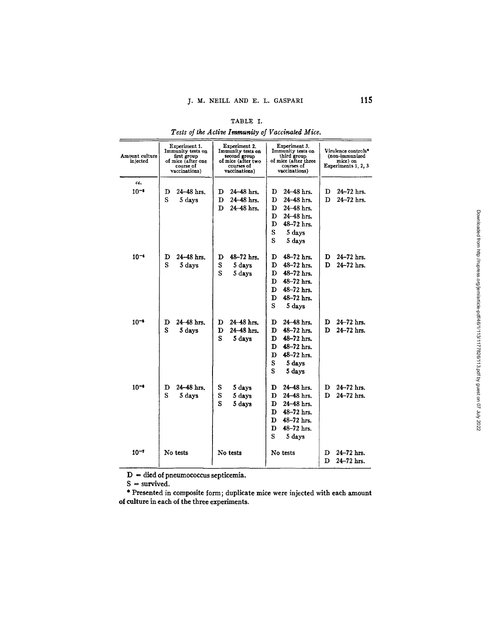| Amount culture<br>injected | Experiment 1.<br>Immunity tests on<br>first group<br>of mice (after one<br>course of<br>vaccinations) | Experiment 2.<br>Immunity tests on<br>second group<br>of mice (after two<br>courses of<br>vaccinations) | Experiment 3.<br>Immunity tests on<br>third group<br>of mice (after three<br>courses of<br>vaccinations) | Virulence controls*<br>(non-immunized<br>mice) on<br>Experiments 1, 2, 3 |  |
|----------------------------|-------------------------------------------------------------------------------------------------------|---------------------------------------------------------------------------------------------------------|----------------------------------------------------------------------------------------------------------|--------------------------------------------------------------------------|--|
| cc.                        |                                                                                                       |                                                                                                         |                                                                                                          |                                                                          |  |
| $10^{-1}$                  | 24-48 hrs.<br>D                                                                                       | 24–48 hrs.<br>D                                                                                         | 24-48 hrs.<br>D                                                                                          | 24-72 hrs.<br>D                                                          |  |
|                            | S<br>5 days                                                                                           | D<br>24–48 hrs.                                                                                         | D<br>24-48 hrs.                                                                                          | 24-72 hrs.<br>D                                                          |  |
|                            |                                                                                                       | 24-48 hrs.<br>D                                                                                         | D<br>24–48 hrs.                                                                                          |                                                                          |  |
|                            |                                                                                                       |                                                                                                         | 24-48 hrs.<br>D                                                                                          |                                                                          |  |
|                            |                                                                                                       |                                                                                                         | 48-72 hrs.<br>D                                                                                          |                                                                          |  |
|                            |                                                                                                       |                                                                                                         | S<br>5 days                                                                                              |                                                                          |  |
|                            |                                                                                                       |                                                                                                         | S<br>5 days                                                                                              |                                                                          |  |
|                            |                                                                                                       |                                                                                                         |                                                                                                          |                                                                          |  |
| $10^{-4}$                  | $24 - 48$ hrs.<br>D                                                                                   | 48-72 hrs.<br>D                                                                                         | $48 - 72$ hrs.<br>D                                                                                      | 24–72 hrs.<br>D                                                          |  |
|                            | S<br>5 days                                                                                           | S<br>5 days                                                                                             | 48-72 hrs.<br>D                                                                                          | 24-72 hrs.<br>D                                                          |  |
|                            |                                                                                                       | S<br>5 days                                                                                             | 48-72 hrs.<br>D                                                                                          |                                                                          |  |
|                            |                                                                                                       |                                                                                                         | 48-72 hrs.<br>D                                                                                          |                                                                          |  |
|                            |                                                                                                       |                                                                                                         | 48-72 hrs.<br>D                                                                                          |                                                                          |  |
|                            |                                                                                                       |                                                                                                         | 48-72 hrs.<br>Ð                                                                                          |                                                                          |  |
|                            |                                                                                                       |                                                                                                         | S<br>5 days                                                                                              |                                                                          |  |
| $10^{-5}$                  | 24-48 hrs.<br>D                                                                                       | 24-48 hrs.<br>D                                                                                         | 24-48 hrs.<br>D                                                                                          | 24–72 hrs.<br>D                                                          |  |
|                            | S<br>5 days                                                                                           | 24-48 hrs.<br>D                                                                                         | 48-72 hrs.<br>D                                                                                          | 24-72 hrs.<br>D                                                          |  |
|                            |                                                                                                       | S<br>5 days                                                                                             | 48-72 hrs.<br>D                                                                                          |                                                                          |  |
|                            |                                                                                                       |                                                                                                         | 48-72 hrs.<br>D                                                                                          |                                                                          |  |
|                            |                                                                                                       |                                                                                                         | 48-72 hrs.<br>D                                                                                          |                                                                          |  |
|                            |                                                                                                       |                                                                                                         | S<br>5 days                                                                                              |                                                                          |  |
|                            |                                                                                                       |                                                                                                         | S<br>5 days                                                                                              |                                                                          |  |
|                            |                                                                                                       |                                                                                                         |                                                                                                          |                                                                          |  |
| $10^{-4}$                  | 24-48 hrs.<br>D                                                                                       | S<br>5 days                                                                                             | 24–48 hrs.<br>D                                                                                          | 24-72 hrs.<br>D                                                          |  |
|                            | S<br>5 days                                                                                           | S<br>5 days                                                                                             | 24-48 hrs.<br>D                                                                                          | 24-72 hrs.<br>D                                                          |  |
|                            |                                                                                                       | S<br>5 days                                                                                             | 24-48 hrs.<br>D                                                                                          |                                                                          |  |
|                            |                                                                                                       |                                                                                                         | D<br>$48 - 72$ hrs.                                                                                      |                                                                          |  |
|                            |                                                                                                       |                                                                                                         | $48 - 72$ hrs.<br>D                                                                                      |                                                                          |  |
|                            |                                                                                                       |                                                                                                         | $48 - 72$ hrs.<br>D                                                                                      |                                                                          |  |
|                            |                                                                                                       |                                                                                                         | S<br>5 days                                                                                              |                                                                          |  |
|                            |                                                                                                       |                                                                                                         |                                                                                                          |                                                                          |  |
| $10^{-7}$                  | No tests                                                                                              | No tests                                                                                                | No tests                                                                                                 | 24-72 hrs.<br>D<br>24-72 hrs.                                            |  |
|                            |                                                                                                       |                                                                                                         |                                                                                                          | D                                                                        |  |

TABLE I. *Tests of the Active Immunity of Vaccinated Mice.* 

 $D =$  died of pneumococcus septicemia.

 $S =$  survived.

\* Presented in composite form; duplicate mice were injected with each amount of culture in each of the three experiments.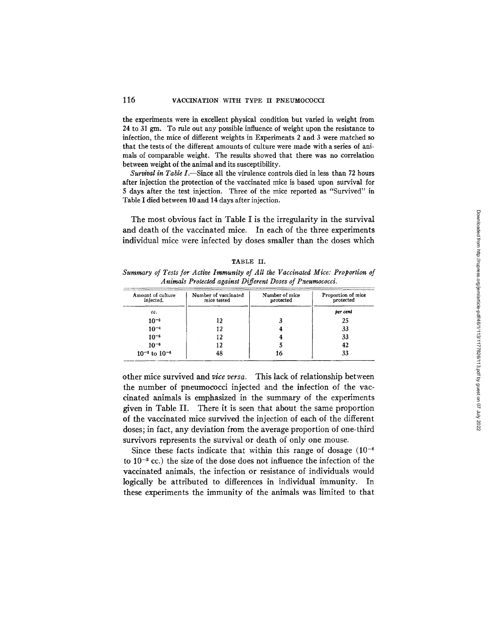### 116 VACCINATION WITH TYPE II PNEUMOCOCCI

the experiments were in excellent physical condition but varied in weight from 24 to 31 gm. To rule out any possible influence of weight upon the resistance to infection, the mice of different weights in Experiments 2 and 3 were matched so that the tests of the different amounts of culture were made with a series of animals of comparable weight. The results showed that there was no correlation between weight of the animal and its susceptibility.

*Survival in Table I.*-Since all the virulence controls died in less than 72 hours after injection the protection of the vaccinated mice is based upon survival for 5 days after the test injection. Three of the mice reported as "Survived" in Table I died between 10 and 14 days after injection.

The most obvious fact in Table I is the irregularity in the survival and death of the vaccinated mice. In each of the three experiments individual mice were infected by doses smaller than the doses which

|                                                           |  | IADLE II. |  |                                                                                |  |
|-----------------------------------------------------------|--|-----------|--|--------------------------------------------------------------------------------|--|
|                                                           |  |           |  | Summary of Tests for Active Immunity of All the Vaccinated Mice: Proportion of |  |
| Animals Protected against Different Doses of Pneumococci. |  |           |  |                                                                                |  |

TABLE II.

| Amount of culture<br>injected. | Number of vaccinated<br>mice tested | Number of mice<br>protected | Proportion of mice<br>protected |  |
|--------------------------------|-------------------------------------|-----------------------------|---------------------------------|--|
| cc.                            |                                     |                             | per cent                        |  |
| $10^{-3}$                      | 12                                  |                             | 25                              |  |
| $10^{-4}$                      | 12                                  |                             | 33                              |  |
| $10^{-5}$                      | 12                                  |                             | 33                              |  |
| $10^{-6}$                      | 12                                  |                             | 42                              |  |
| $10^{-3}$ to $10^{-6}$         | 48                                  | 16                          | 33                              |  |

other mice survived and *vice versa.* This lack of relationship between the number of pneumococci injected and the infection of the vaccinated animals is emphasized in the summary of the experiments given in Table II. There it is seen that about the same proportion of the vaccinated mice survived the injection of each of the different doses; in fact, any deviation from the average proportion of one-third survivors represents the survival or death of only one mouse.

Since these facts indicate that within this range of dosage  $(10^{-6})$ to  $10^{-3}$  cc.) the size of the dose does not influence the infection of the vaccinated animals, the infection or resistance of individuals would logically be attributed to differences in individual immunity. In these experiments the immunity of the animals was limited to that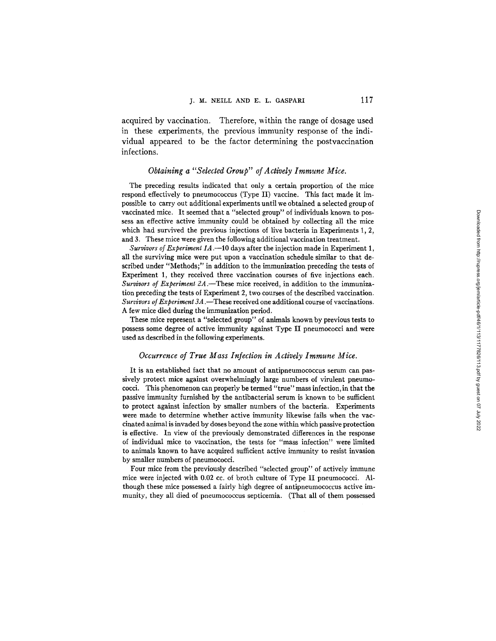acquired by vaccination. Therefore, within the range of dosage used in these experiments, the previous immunity response of the individual appeared to be the factor determining the postvaccination infections.

## *Obtaining a "Selected Group" of Actively Immune Mice.*

The preceding results indicated that only a certain proportion of the mice respond effectively to pneumococcus (Type II) vaccine. This fact made it impossible to carry out additional experiments until we obtained a selected group of vaccinated mice. It seemed that a "selected group" of individuals known to possess an effective active immunity could be obtained by collecting all the mice which had survived the previous injections of live bacteria in Experiments 1, 2, and 3. These mice were given the following additional vaccination treatment.

*Survivors of Experiment 1A.--10* days after the injection made in Experiment 1, all the surviving mice were put upon a vaccination schedule similar to that described under "Methods;" in addition to the immunization preceding the tests of Experiment 1, they received three vaccination courses of five injections each. *Survivors of Experiment 2A*. These mice received, in addition to the immunization preceding the tests of Experiment 2, two courses of the described vaccination. *Survivors of Experiment 3A* .--These received one additional course of vaccinations. A few mice died during the immunization period.

These mice represent a "selected group" of animals known by previous tests to possess some degree of active immunity against Type II pneumococci and were used as described in the following experiments.

#### *Occurrence of True Mass Infection in Actively Immune Mice.*

It is an established fact that no amount of antipneumococcus serum can passively protect mice against overwhelmingly large numbers of virulent pneumococci. This phenomenon can properly be termed "true" mass infection, in that the passive immunity furnished by the antibacterial serum is known to be sufficient to protect against infection by smaller numbers of the bacteria. Experiments were made to determine whether active immunity likewise fails when the vaccinated animal is invaded by doses beyond the zone within which passive protection is effective. In view of the previously demonstrated differences in the response of individual mice to vaccination, the tests for "mass infection" were limited to animals known to have acquired sufficient active immunity to resist invasion by smaller numbers of pneumococci.

Four mice from the previously described "selected group" of actively immune mice were injected with 0.02 cc. of broth culture of Type II pneumococci. Although these mice possessed a fairly high degree of antipneumococcus active immunity, they all died of pneumococcus septicemia. (That all of them possessed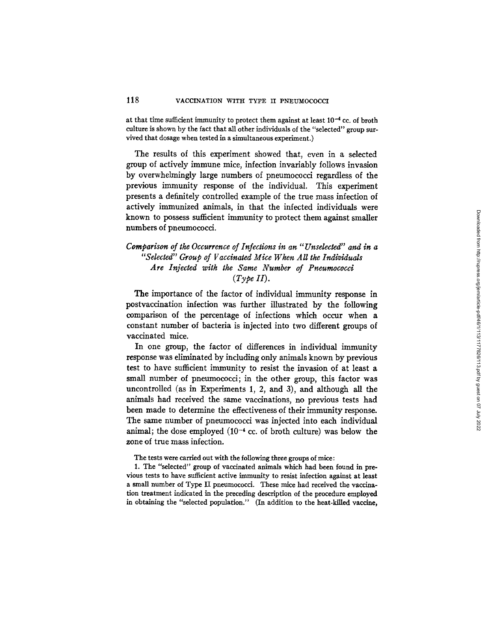at that time sufficient immunity to protect them against at least  $10^{-4}$  cc. of broth culture is shown by the fact that all other individuals of the "selected" group survived that dosage when tested in a simultaneous experiment.)

The results of this experiment showed that, even in a selected group of actively immune mice, infection invariably follows invasion by overwhelmingly large numbers of pneumococci regardless of the previous immunity response of the individual. This experiment presents a definitely controlled example of the true mass infection of actively immunized animals, in that the infected individuals were known to possess sufficient immunity to protect them against smaller numbers of pneumococci.

## *Comparison of the Occurrence of Infections in an "Unselected" and in a "Selected" Group of Vaccinated Mice When All the Individuals Are Injected with the Same Number of Pneumococd (Type II).*

The importance of the factor of individual immunity response in postvaccination infection was further illustrated by the following comparison of the percentage of infections which occur when a constant number of bacteria is injected into two different groups of vaccinated mice.

In one group, the factor of differences in individual immunity response was eliminated by including only animals known by previous test to have sufficient immunity to resist the invasion of at least a small number of pneumococci; in the other group, this factor was uncontrolled (as in Experiments 1, 2, and 3), and although all the animals had received the same vaccinations, no previous tests had been made to determine the effectiveness of their immunity response. The same number of pneumococci was injected into each individual animal; the dose employed  $(10^{-4} \text{ cc. of both culture})$  was below the zone of true mass infection.

The tests were carried out with the following three groups of mice:

1. The "selected" group of vaccinated animals which had been found in previous tests to have sufficient active immunity to resist infection against at least a small number of Type II pneumococci. These mice had received the vaccination treatment indicated in the preceding description of the procedure employed in obtaining the "selected population." (In addition to the heat-killed vaccine,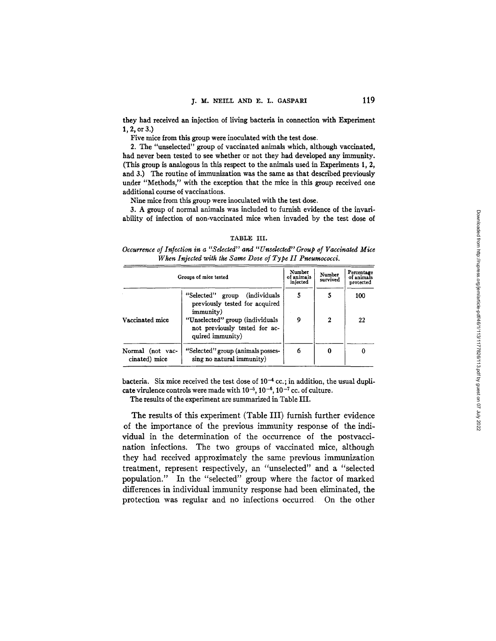they had received an injection of living bacteria in connection with Experiment **1, 2, or 3.)** 

Five mice from this group were inoculated with the test dose.

2. The "unselected" group of vaccinated animals which, although vaccinated, had never been tested to see whether or not they had developed any immunity. (This group is analogous in this respect to the animals used in Experiments 1, 2, and 3.) The routine of immunization was the same as that described previously under "Methods," with the exception that the mice in this group received one additional course of vaccinations.

Nine mice from this group were inoculated with the test dose.

3. A group of normal animals was included to furnish evidence of the invariability of infection of non-vaccinated mice when invaded by the test dose of

#### TABLE III.

#### *Occurrence of Infection in a "Selected" and "Unselected" Group of Vaccinated Mice When Injected with the Same Dose of Type II Pneumococci.*

|                                   | Groups of mice tested                                                                | Number<br>of animals<br>injected | Number<br>survived | Percentage<br>of animals<br>protected |
|-----------------------------------|--------------------------------------------------------------------------------------|----------------------------------|--------------------|---------------------------------------|
|                                   | "Selected" group (individuals<br>previously tested for acquired<br>immunity)         | 5                                |                    | 100                                   |
| Vaccinated mice                   | "Unselected" group (individuals<br>not previously tested for ac-<br>quired immunity) | 9                                | 2                  | 22                                    |
| Normal (not vac-<br>cinated) mice | "Selected" group (animals posses-<br>sing no natural immunity)                       | 6                                |                    |                                       |

bacteria. Six mice received the test dose of  $10^{-4}$  cc.; in addition, the usual duplicate virulence controls were made with  $10^{-5}$ ,  $10^{-6}$ ,  $10^{-7}$  cc. of culture.

The results of the experiment are summarized in Table III.

The results of this experiment (Table III) furnish further evidence of the importance of the previous immunity response of the individual in the determination of the occurrence of the postvaccination infections. The two groups of vaccinated mice, although they had received approximately the same previous immunization treatment, represent respectively, an "unselected" and a "selected population." In the "selected" group where the factor of marked differences in individual immunity response had been eliminated, the protection was regular and no infections occurred On the other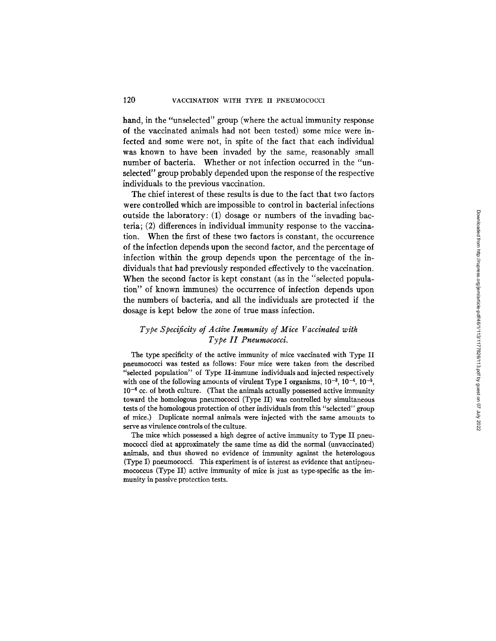hand, in the *"unselected"* group (where the actual immunity response of the vaccinated animals had not been tested) some mice were infected and some were not, in spite of the fact that each individual was known to have been invaded by the same, reasonably small number of bacteria. Whether or not infection occurred in the *"un*selected" group probably depended upon the response of the respective individuals to the previous vaccination.

The chief interest of these results is due to the fact that two factors were controlled which are impossible to control in bacterial infections outside the laboratory: (1) dosage or numbers of the invading bacteria; (2) differences in individual immunity response to the vaccination. When the first of these two factors is constant, the occurrence of the infection depends upon the second factor, and the percentage of infection within the group depends upon the percentage of the individuals that had previously responded effectively to the vaccination. When the second factor is kept constant (as in the "selected population" of known immunes) the occurrence of infection depends upon the numbers of bacteria, and all the individuals are protected if the dosage is kept below the zone of true mass infection.

## *Type Specificity of Active Immunity of Mice Vaccinated with Type II Pneumococci.*

The type specificity of the active immunity of mice vaccinated with Type II pneumococci was tested as follows: Four mice were taken from the described "selected population" of Type II-immune individuals and injected respectively with one of the following amounts of virulent Type I organisms,  $10^{-3}$ ,  $10^{-4}$ ,  $10^{-5}$ ,  $10^{-6}$  cc. of broth culture. (That the animals actually possessed active immunity toward the homologous pneumococci (Type II) was controlled by simultaneous tests of the homologous protection of other individuals from this "selected" group of mice.) Duplicate normal animals were injected with the same amounts to serve as virulence controls of the culture.

The mice which possessed a high degree of active immunity to Type II pneumococci died at approximately the same time as did the normal (unvaccinated) animals, and thus showed no evidence of immunity against the heterologous (Type I) pneumococci. This experiment is of interest as evidence that antlpneumococcus (Type II) active immunity of mice is just as type-specific as the immunity in passive protection tests.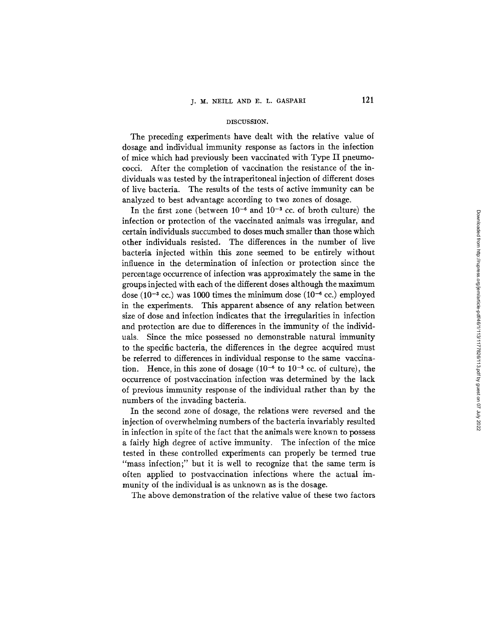#### DISCUSSION.

The preceding experiments have dealt with the relative value of dosage and individual immunity response as factors in the infection of mice which had previously been vaccinated with Type II pneumococci. After the completion of vaccination the resistance of the individuals was tested by the intraperitoneal injection of different doses of live bacteria. The results of the tests of active immunity can be analyzed to best advantage according to two zones of dosage.

In the first zone (between  $10^{-6}$  and  $10^{-3}$  cc. of broth culture) the infection or protection of the vaccinated animals was irregular, and certain individuals succumbed to doses much smaller than those which other individuals resisted. The differences in the number of live bacteria injected within this zone seemed to be entirely without influence in the determination of infection or protection since the percentage occurrence of infection was approximately the same in the groups injected with each of the different doses although the maximum dose (10<sup>-3</sup> cc.) was 1000 times the minimum dose (10<sup>-6</sup> cc.) employed in the experiments. This apparent absence of any relation between size of dose and infection indicates that the irregularities in infection and protection are due to differences in the immunity of the individuals. Since the mice possessed no demonstrable natural immunity to the specific bacteria, the differences in the degree acquired must be referred to differences in individual response to the same vaccination. Hence, in this zone of dosage  $(10^{-6}$  to  $10^{-3}$  cc. of culture), the occurrence of postvaccination infection was determined by the lack of previous immunity response of the individual rather than by the numbers of the invading bacteria.

In the second zone of dosage, the relations were reversed and the injection of overwhelming numbers of the bacteria invariably resulted in infection in spite of the fact that the animals were known to possess a fairly high degree of active immunity. The infection of the mice tested in these controlled experiments can properly be termed true "mass infection;" but it is well to recognize that the same term is often applied to postvaccination infections where the actual immunity of the individual is as unknown as is the dosage.

The above demonstration of the relative value of these two factors